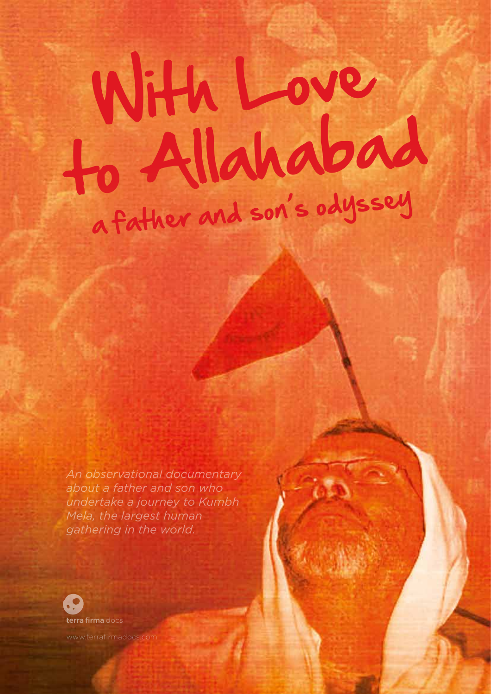## With Love to Allahabad a father and son's odyssey

*An observational documentary about a father and son who undertake a journey to Kumbh Mela, the largest human gathering in the world.*